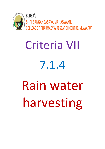

## Criteria VII 7.1.4 Rain water harvesting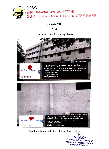

## Criteria VII

## 7.1.4

1. Rain water harvesting Photos





Pipe lines for the collection of water form roof.

**Principal,<br>BLDEA's, S.S.M. College of<br>Pharmacy & Research Centre<br>VIJAYAPUR-586103.**